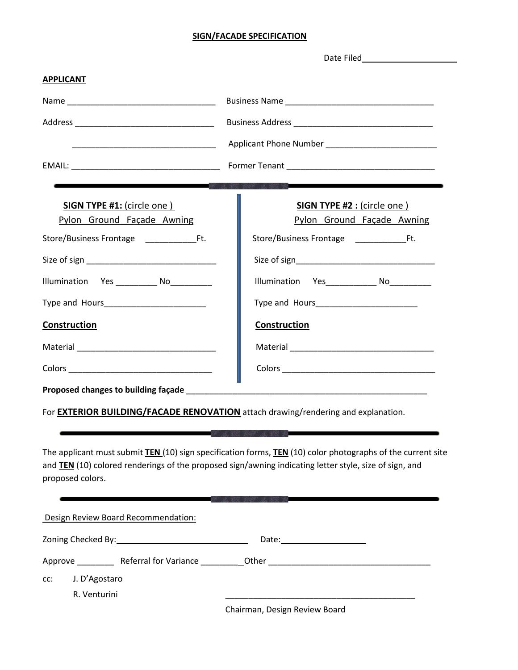## **SIGN/FACADE SPECIFICATION**

| <b>APPLICANT</b>                    |                                                                                                                       |
|-------------------------------------|-----------------------------------------------------------------------------------------------------------------------|
|                                     |                                                                                                                       |
|                                     |                                                                                                                       |
|                                     |                                                                                                                       |
|                                     |                                                                                                                       |
|                                     |                                                                                                                       |
| <b>SIGN TYPE #1: (circle one)</b>   | <b>SIGN TYPE #2 : (circle one)</b>                                                                                    |
| Pylon Ground Façade Awning          | Pylon Ground Façade Awning                                                                                            |
| Store/Business Frontage Ft.         | Store/Business Frontage Ft.                                                                                           |
|                                     |                                                                                                                       |
|                                     |                                                                                                                       |
|                                     |                                                                                                                       |
| <b>Construction</b>                 | <b>Construction</b>                                                                                                   |
|                                     |                                                                                                                       |
|                                     |                                                                                                                       |
| Proposed changes to building façade | <u> 1989 - Johann John Stoff, deutscher Stoffen und der Stoffen und der Stoffen und der Stoffen und der Stoffen u</u> |

For **EXTERIOR BUILDING/FACADE RENOVATION** attach drawing/rendering and explanation.

The applicant must submit **TEN** (10) sign specification forms, **TEN** (10) color photographs of the current site and **TEN** (10) colored renderings of the proposed sign/awning indicating letter style, size of sign, and proposed colors.

| Design Review Board Recommendation: |                               |
|-------------------------------------|-------------------------------|
|                                     |                               |
| Approve Referral for Variance       |                               |
| J. D'Agostaro<br>CC:                |                               |
| R. Venturini                        |                               |
|                                     | Chairman, Design Review Board |